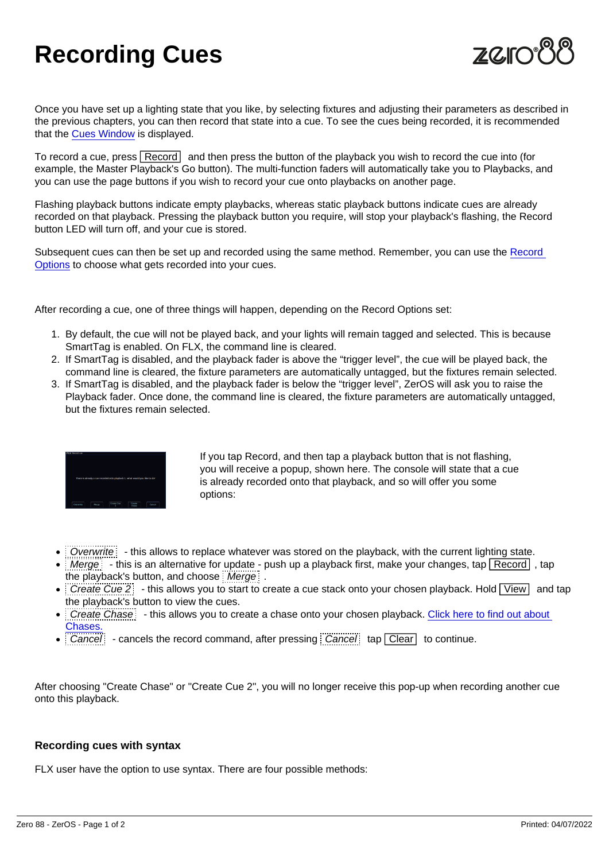## Recording Cues

Once you have set up a lighting state that you like, by selecting fixtures and adjusting their parameters as described in the previous chapters, you can then record that state into a cue. To see the cues being recorded, it is recommended that the [Cues Window](/manuals/zeros/cues-playbacks/cues-window) is displayed.

To record a cue, press Record and then press the button of the playback you wish to record the cue into (for example, the Master Playback's Go button). The multi-function faders will automatically take you to Playbacks, and you can use the page buttons if you wish to record your cue onto playbacks on another page.

Flashing playback buttons indicate empty playbacks, whereas static playback buttons indicate cues are already recorded on that playback. Pressing the playback button you require, will stop your playback's flashing, the Record button LED will turn off, and your cue is stored.

Subsequent cues can then be set up and recorded using the same method. Remember, you can use the [Record](/manuals/zeros/cues-playbacks/record-options)  [Options](/manuals/zeros/cues-playbacks/record-options) to choose what gets recorded into your cues.

After recording a cue, one of three things will happen, depending on the Record Options set:

- 1. By default, the cue will not be played back, and your lights will remain tagged and selected. This is because SmartTag is enabled. On FLX, the command line is cleared.
- 2. If SmartTag is disabled, and the playback fader is above the "trigger level", the cue will be played back, the command line is cleared, the fixture parameters are automatically untagged, but the fixtures remain selected.
- 3. If SmartTag is disabled, and the playback fader is below the "trigger level", ZerOS will ask you to raise the Playback fader. Once done, the command line is cleared, the fixture parameters are automatically untagged, but the fixtures remain selected.

If you tap Record, and then tap a playback button that is not flashing, you will receive a popup, shown here. The console will state that a cue is already recorded onto that playback, and so will offer you some options:

- Overwrite: this allows to replace whatever was stored on the playback, with the current lighting state.
- $\bullet$  Merge:  $\bullet$  this is an alternative for update push up a playback first, make your changes, tap  $\sqrt{\text{Record}}$ , tap the playback's button, and choose  $\frac{1}{2}$  Merge  $\frac{1}{2}$ .
- $\bullet$  Create Cue 2 this allows you to start to create a cue stack onto your chosen playback. Hold  $\boxed{\text{View}}$  and tap the playback's button to view the cues.
- Create Chase  $\vdots$  this allows you to create a chase onto your chosen playback. Click here to find out about [Chases.](/manuals/zeros/cues-playbacks/chases)
- $\bullet$  Cancel cancels the record command, after pressing Cancel tap Clear to continue.

After choosing "Create Chase" or "Create Cue 2", you will no longer receive this pop-up when recording another cue onto this playback.

## Recording cues with syntax

FLX user have the option to use syntax. There are four possible methods: